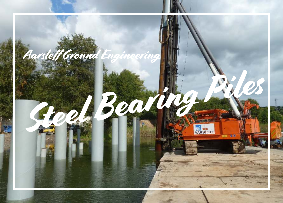